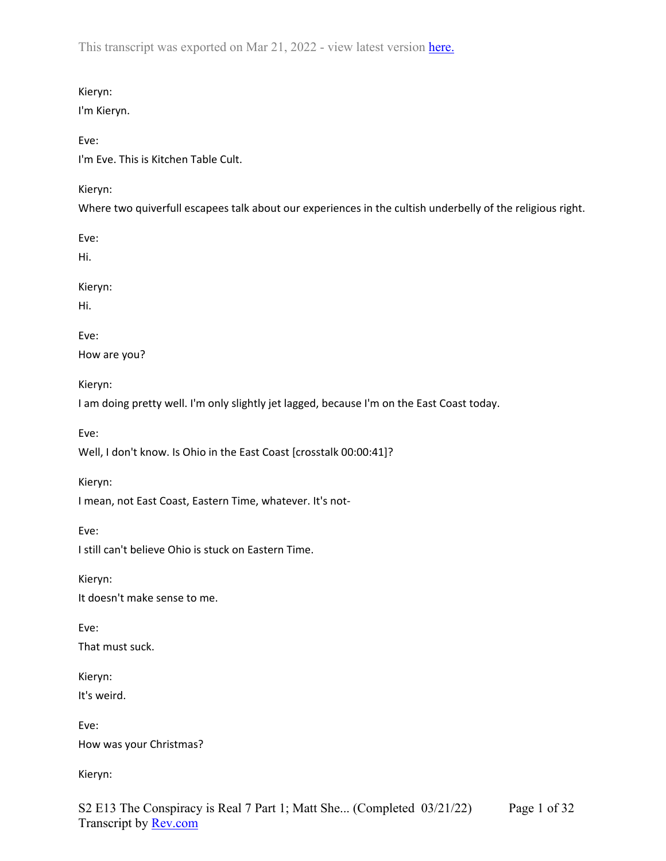## Kieryn:

I'm Kieryn.

Eve:

I'm Eve. This is Kitchen Table Cult.

# Kieryn:

Where two quiverfull escapees talk about our experiences in the cultish underbelly of the religious right.

Eve:

Hi.

Kieryn:

Hi.

Eve:

How are you?

Kieryn:

I am doing pretty well. I'm only slightly jet lagged, because I'm on the East Coast today.

Eve:

Well, I don't know. Is Ohio in the East Coast [crosstalk 00:00:41]?

Kieryn:

I mean, not East Coast, Eastern Time, whatever. It's not-

Eve:

I still can't believe Ohio is stuck on Eastern Time.

Kieryn: It doesn't make sense to me.

Eve: That must suck.

Kieryn: It's weird.

Eve: How was your Christmas?

Kieryn: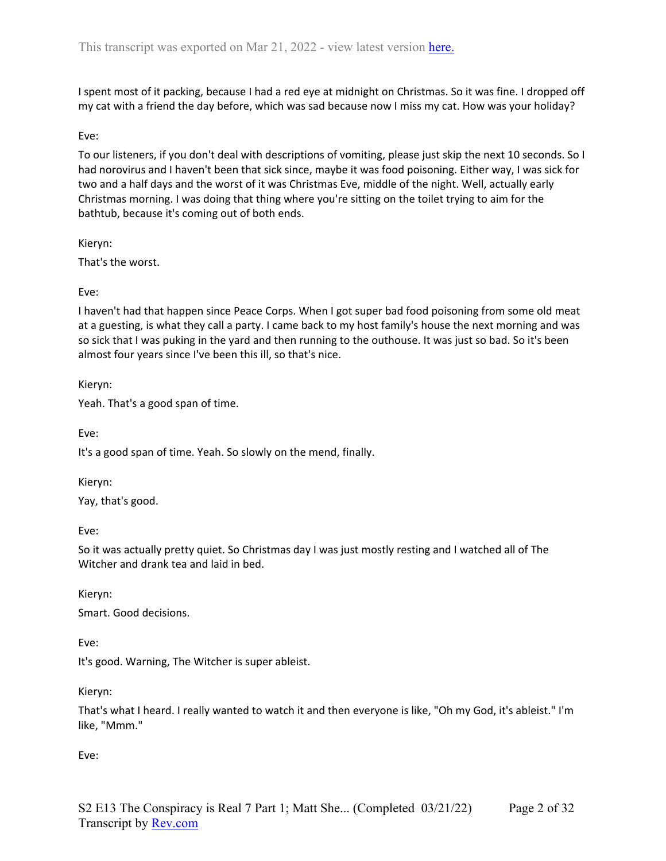I spent most of it packing, because I had a red eye at midnight on Christmas. So it was fine. I dropped off my cat with a friend the day before, which was sad because now I miss my cat. How was your holiday?

#### Eve:

To our listeners, if you don't deal with descriptions of vomiting, please just skip the next 10 seconds. So I had norovirus and I haven't been that sick since, maybe it was food poisoning. Either way, I was sick for two and a half days and the worst of it was Christmas Eve, middle of the night. Well, actually early Christmas morning. I was doing that thing where you're sitting on the toilet trying to aim for the bathtub, because it's coming out of both ends.

Kieryn:

That's the worst.

Eve:

I haven't had that happen since Peace Corps. When I got super bad food poisoning from some old meat at a guesting, is what they call a party. I came back to my host family's house the next morning and was so sick that I was puking in the yard and then running to the outhouse. It was just so bad. So it's been almost four years since I've been this ill, so that's nice.

Kieryn:

Yeah. That's a good span of time.

Eve:

It's a good span of time. Yeah. So slowly on the mend, finally.

Kieryn:

Yay, that's good.

Eve:

So it was actually pretty quiet. So Christmas day I was just mostly resting and I watched all of The Witcher and drank tea and laid in bed.

Kieryn:

Smart. Good decisions.

Eve:

It's good. Warning, The Witcher is super ableist.

Kieryn:

That's what I heard. I really wanted to watch it and then everyone is like, "Oh my God, it's ableist." I'm like, "Mmm."

Eve: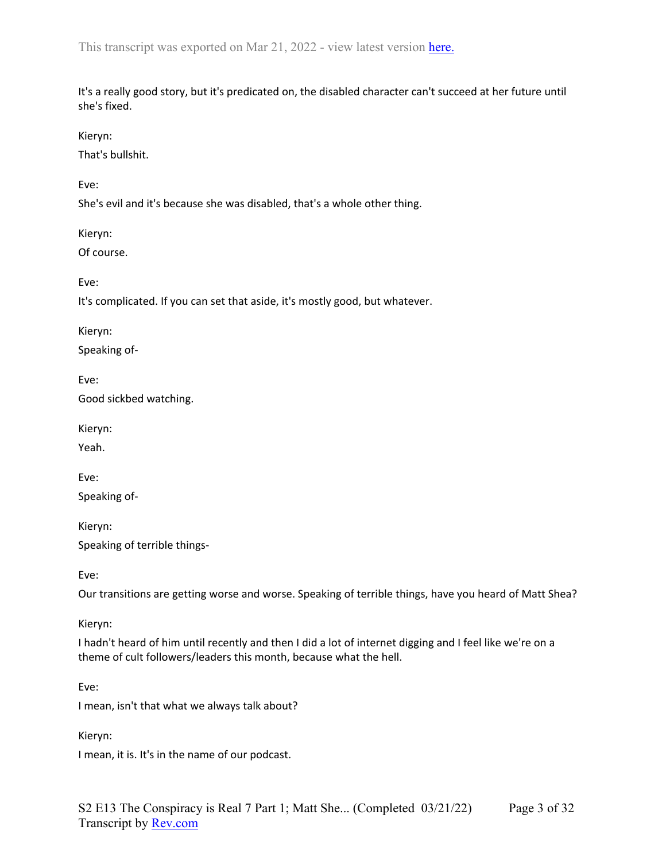It's a really good story, but it's predicated on, the disabled character can't succeed at her future until she's fixed.

Kieryn:

That's bullshit.

Eve:

She's evil and it's because she was disabled, that's a whole other thing.

Kieryn:

Of course.

Eve:

It's complicated. If you can set that aside, it's mostly good, but whatever.

Kieryn: Speaking of-

Eve: Good sickbed watching.

Kieryn:

Yeah.

Eve: Speaking of-

Kieryn: Speaking of terrible things-

Eve:

Our transitions are getting worse and worse. Speaking of terrible things, have you heard of Matt Shea?

Kieryn:

I hadn't heard of him until recently and then I did a lot of internet digging and I feel like we're on a theme of cult followers/leaders this month, because what the hell.

Eve:

I mean, isn't that what we always talk about?

Kieryn:

I mean, it is. It's in the name of our podcast.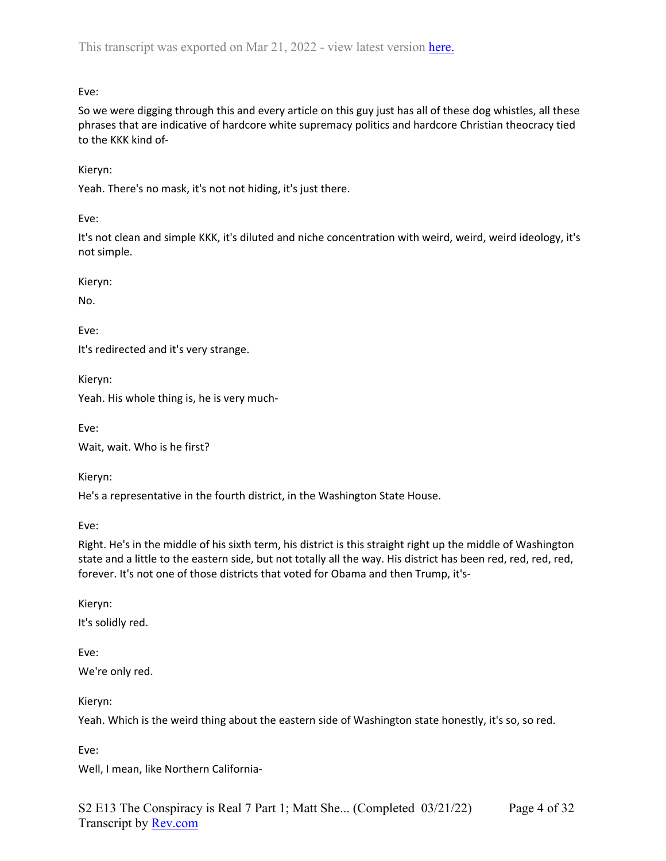Eve:

So we were digging through this and every article on this guy just has all of these dog whistles, all these phrases that are indicative of hardcore white supremacy politics and hardcore Christian theocracy tied to the KKK kind of-

Kieryn:

Yeah. There's no mask, it's not not hiding, it's just there.

Eve:

It's not clean and simple KKK, it's diluted and niche concentration with weird, weird, weird ideology, it's not simple.

Kieryn:

No.

Eve:

It's redirected and it's very strange.

Kieryn:

Yeah. His whole thing is, he is very much-

Eve:

Wait, wait. Who is he first?

Kieryn:

He's a representative in the fourth district, in the Washington State House.

Eve:

Right. He's in the middle of his sixth term, his district is this straight right up the middle of Washington state and a little to the eastern side, but not totally all the way. His district has been red, red, red, red, forever. It's not one of those districts that voted for Obama and then Trump, it's-

Kieryn:

It's solidly red.

Eve: We're only red.

Kieryn:

Yeah. Which is the weird thing about the eastern side of Washington state honestly, it's so, so red.

Eve:

Well, I mean, like Northern California-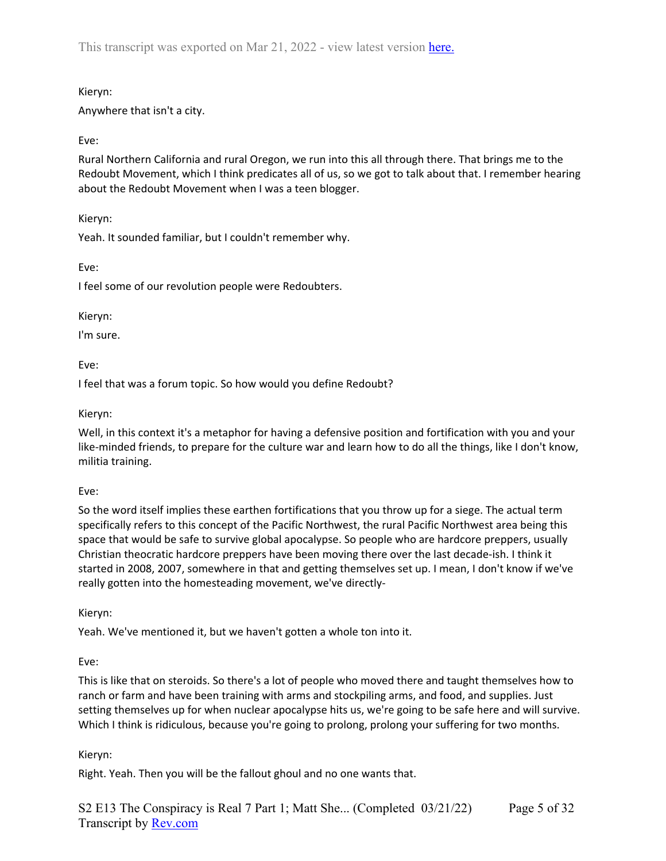# Kieryn:

Anywhere that isn't a city.

# Eve:

Rural Northern California and rural Oregon, we run into this all through there. That brings me to the Redoubt Movement, which I think predicates all of us, so we got to talk about that. I remember hearing about the Redoubt Movement when I was a teen blogger.

Kieryn:

Yeah. It sounded familiar, but I couldn't remember why.

Eve:

I feel some of our revolution people were Redoubters.

#### Kieryn:

I'm sure.

Eve:

I feel that was a forum topic. So how would you define Redoubt?

#### Kieryn:

Well, in this context it's a metaphor for having a defensive position and fortification with you and your like-minded friends, to prepare for the culture war and learn how to do all the things, like I don't know, militia training.

### Eve:

So the word itself implies these earthen fortifications that you throw up for a siege. The actual term specifically refers to this concept of the Pacific Northwest, the rural Pacific Northwest area being this space that would be safe to survive global apocalypse. So people who are hardcore preppers, usually Christian theocratic hardcore preppers have been moving there over the last decade-ish. I think it started in 2008, 2007, somewhere in that and getting themselves set up. I mean, I don't know if we've really gotten into the homesteading movement, we've directly-

Kieryn:

Yeah. We've mentioned it, but we haven't gotten a whole ton into it.

Eve:

This is like that on steroids. So there's a lot of people who moved there and taught themselves how to ranch or farm and have been training with arms and stockpiling arms, and food, and supplies. Just setting themselves up for when nuclear apocalypse hits us, we're going to be safe here and will survive. Which I think is ridiculous, because you're going to prolong, prolong your suffering for two months.

### Kieryn:

Right. Yeah. Then you will be the fallout ghoul and no one wants that.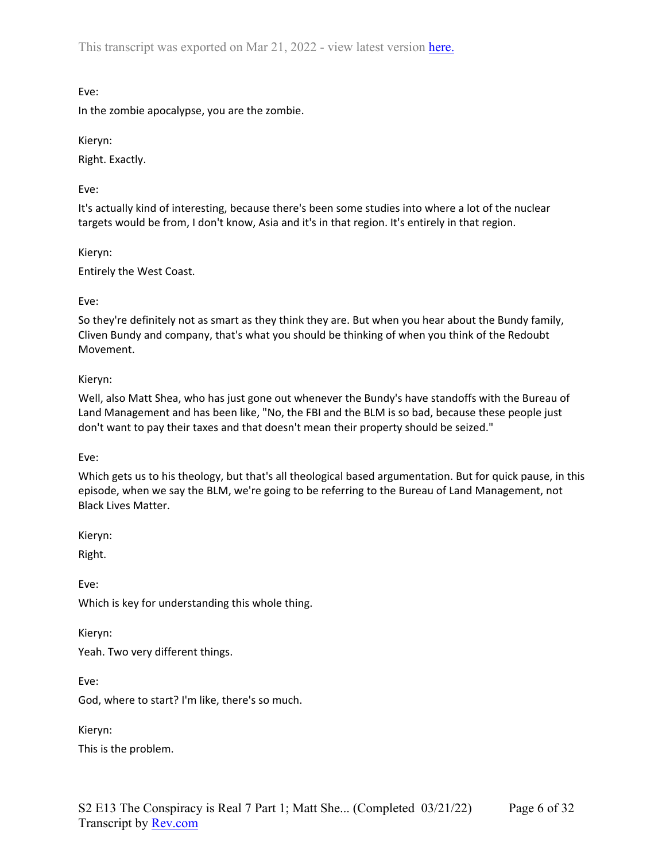Eve:

In the zombie apocalypse, you are the zombie.

Kieryn:

Right. Exactly.

Eve:

It's actually kind of interesting, because there's been some studies into where a lot of the nuclear targets would be from, I don't know, Asia and it's in that region. It's entirely in that region.

Kieryn:

Entirely the West Coast.

#### Eve:

So they're definitely not as smart as they think they are. But when you hear about the Bundy family, Cliven Bundy and company, that's what you should be thinking of when you think of the Redoubt Movement.

### Kieryn:

Well, also Matt Shea, who has just gone out whenever the Bundy's have standoffs with the Bureau of Land Management and has been like, "No, the FBI and the BLM is so bad, because these people just don't want to pay their taxes and that doesn't mean their property should be seized."

Eve:

Which gets us to his theology, but that's all theological based argumentation. But for quick pause, in this episode, when we say the BLM, we're going to be referring to the Bureau of Land Management, not Black Lives Matter.

Kieryn:

Right.

Eve:

Which is key for understanding this whole thing.

Kieryn:

Yeah. Two very different things.

Eve:

God, where to start? I'm like, there's so much.

Kieryn:

This is the problem.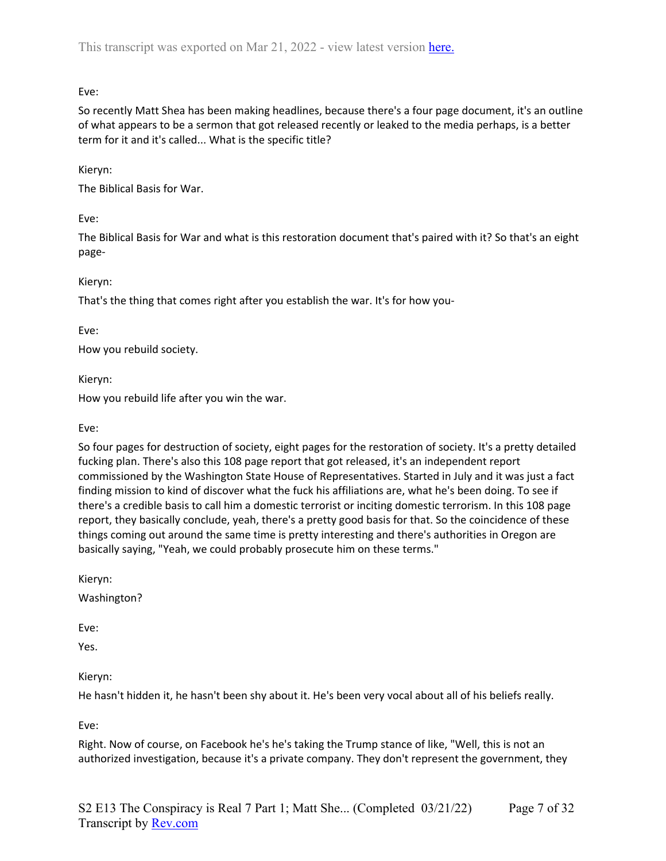Eve:

So recently Matt Shea has been making headlines, because there's a four page document, it's an outline of what appears to be a sermon that got released recently or leaked to the media perhaps, is a better term for it and it's called... What is the specific title?

# Kieryn:

The Biblical Basis for War.

Eve:

The Biblical Basis for War and what is this restoration document that's paired with it? So that's an eight page-

Kieryn:

That's the thing that comes right after you establish the war. It's for how you-

Eve:

How you rebuild society.

Kieryn:

How you rebuild life after you win the war.

Eve:

So four pages for destruction of society, eight pages for the restoration of society. It's a pretty detailed fucking plan. There's also this 108 page report that got released, it's an independent report commissioned by the Washington State House of Representatives. Started in July and it was just a fact finding mission to kind of discover what the fuck his affiliations are, what he's been doing. To see if there's a credible basis to call him a domestic terrorist or inciting domestic terrorism. In this 108 page report, they basically conclude, yeah, there's a pretty good basis for that. So the coincidence of these things coming out around the same time is pretty interesting and there's authorities in Oregon are basically saying, "Yeah, we could probably prosecute him on these terms."

Kieryn:

Washington?

Eve:

Yes.

Kieryn:

He hasn't hidden it, he hasn't been shy about it. He's been very vocal about all of his beliefs really.

Eve:

Right. Now of course, on Facebook he's he's taking the Trump stance of like, "Well, this is not an authorized investigation, because it's a private company. They don't represent the government, they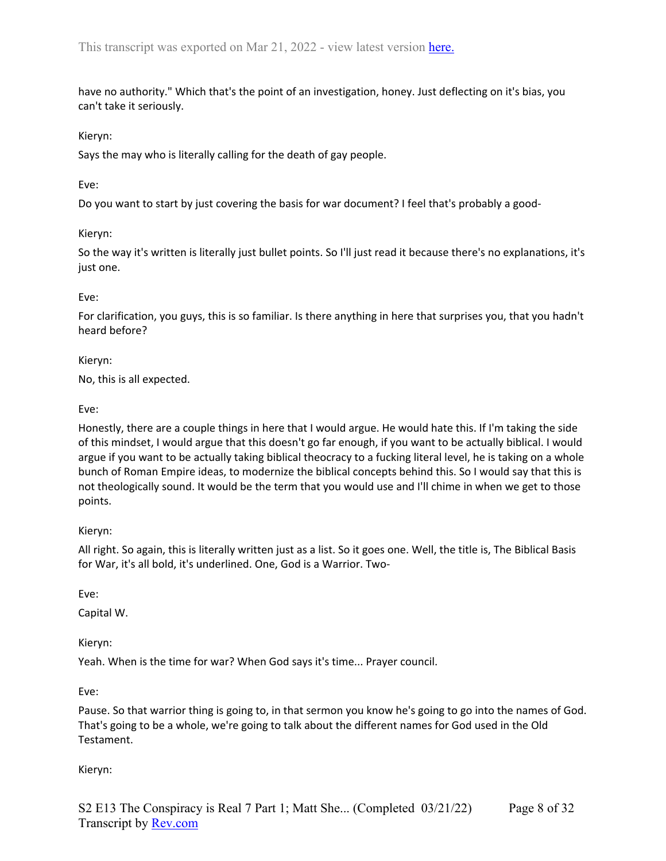have no authority." Which that's the point of an investigation, honey. Just deflecting on it's bias, you can't take it seriously.

### Kieryn:

Says the may who is literally calling for the death of gay people.

#### Eve:

Do you want to start by just covering the basis for war document? I feel that's probably a good-

#### Kieryn:

So the way it's written is literally just bullet points. So I'll just read it because there's no explanations, it's just one.

#### Eve:

For clarification, you guys, this is so familiar. Is there anything in here that surprises you, that you hadn't heard before?

#### Kieryn:

No, this is all expected.

#### Eve:

Honestly, there are a couple things in here that I would argue. He would hate this. If I'm taking the side of this mindset, I would argue that this doesn't go far enough, if you want to be actually biblical. I would argue if you want to be actually taking biblical theocracy to a fucking literal level, he is taking on a whole bunch of Roman Empire ideas, to modernize the biblical concepts behind this. So I would say that this is not theologically sound. It would be the term that you would use and I'll chime in when we get to those points.

### Kieryn:

All right. So again, this is literally written just as a list. So it goes one. Well, the title is, The Biblical Basis for War, it's all bold, it's underlined. One, God is a Warrior. Two-

Eve:

Capital W.

Kieryn:

Yeah. When is the time for war? When God says it's time... Prayer council.

Eve:

Pause. So that warrior thing is going to, in that sermon you know he's going to go into the names of God. That's going to be a whole, we're going to talk about the different names for God used in the Old Testament.

Kieryn: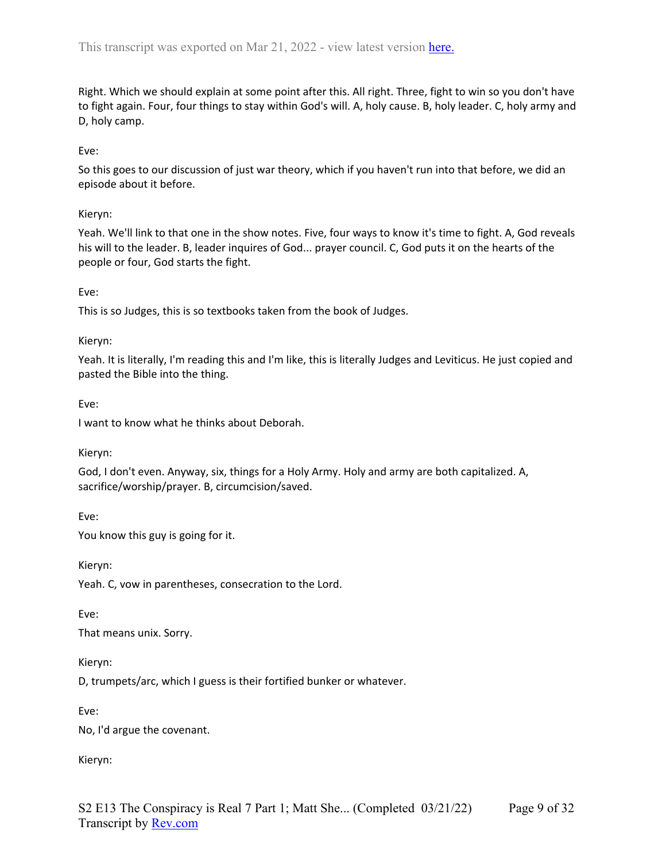Right. Which we should explain at some point after this. All right. Three, fight to win so you don't have to fight again. Four, four things to stay within God's will. A, holy cause. B, holy leader. C, holy army and D, holy camp.

# Eve:

So this goes to our discussion of just war theory, which if you haven't run into that before, we did an episode about it before.

## Kieryn:

Yeah. We'll link to that one in the show notes. Five, four ways to know it's time to fight. A, God reveals his will to the leader. B, leader inquires of God... prayer council. C, God puts it on the hearts of the people or four, God starts the fight.

### Eve:

This is so Judges, this is so textbooks taken from the book of Judges.

### Kieryn:

Yeah. It is literally, I'm reading this and I'm like, this is literally Judges and Leviticus. He just copied and pasted the Bible into the thing.

Eve:

I want to know what he thinks about Deborah.

Kieryn:

God, I don't even. Anyway, six, things for a Holy Army. Holy and army are both capitalized. A, sacrifice/worship/prayer. B, circumcision/saved.

Eve:

You know this guy is going for it.

Kieryn:

Yeah. C, vow in parentheses, consecration to the Lord.

Eve:

That means unix. Sorry.

Kieryn:

D, trumpets/arc, which I guess is their fortified bunker or whatever.

Eve:

No, I'd argue the covenant.

Kieryn: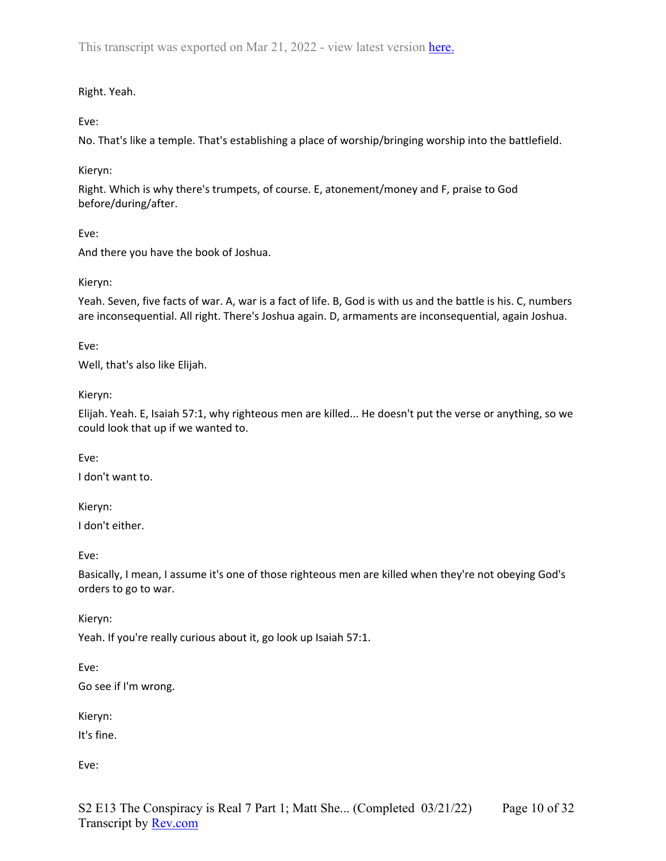# Right. Yeah.

Eve:

No. That's like a temple. That's establishing a place of worship/bringing worship into the battlefield.

# Kieryn:

Right. Which is why there's trumpets, of course. E, atonement/money and F, praise to God before/during/after.

# Eve:

And there you have the book of Joshua.

# Kieryn:

Yeah. Seven, five facts of war. A, war is a fact of life. B, God is with us and the battle is his. C, numbers are inconsequential. All right. There's Joshua again. D, armaments are inconsequential, again Joshua.

Eve:

Well, that's also like Elijah.

Kieryn:

Elijah. Yeah. E, Isaiah 57:1, why righteous men are killed... He doesn't put the verse or anything, so we could look that up if we wanted to.

Eve:

I don't want to.

Kieryn:

I don't either.

Eve:

Basically, I mean, I assume it's one of those righteous men are killed when they're not obeying God's orders to go to war.

Kieryn:

Yeah. If you're really curious about it, go look up Isaiah 57:1.

Eve:

Go see if I'm wrong.

Kieryn:

It's fine.

Eve: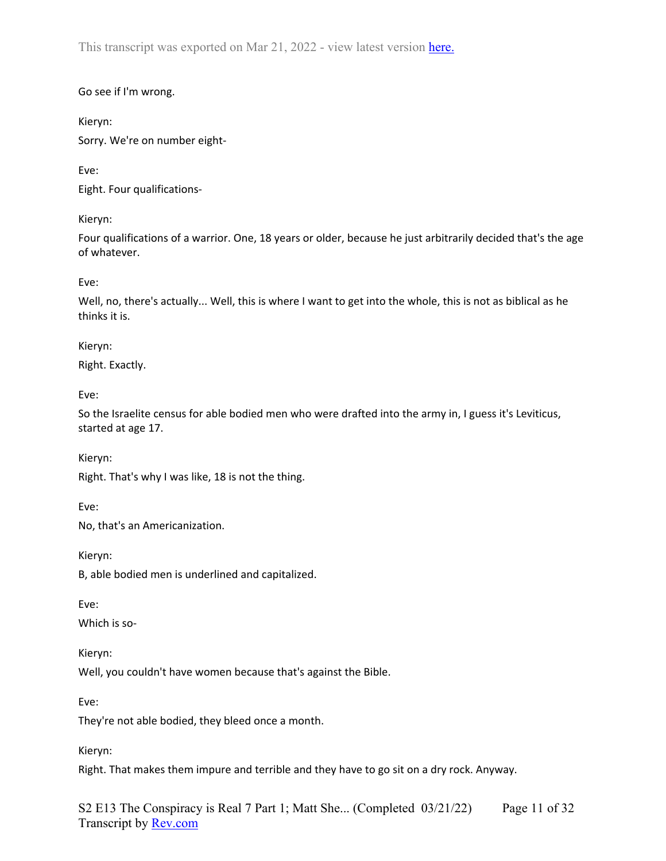## Go see if I'm wrong.

Kieryn:

Sorry. We're on number eight-

Eve:

Eight. Four qualifications-

Kieryn:

Four qualifications of a warrior. One, 18 years or older, because he just arbitrarily decided that's the age of whatever.

Eve:

Well, no, there's actually... Well, this is where I want to get into the whole, this is not as biblical as he thinks it is.

Kieryn:

Right. Exactly.

Eve:

So the Israelite census for able bodied men who were drafted into the army in, I guess it's Leviticus, started at age 17.

Kieryn:

Right. That's why I was like, 18 is not the thing.

Eve:

No, that's an Americanization.

Kieryn:

B, able bodied men is underlined and capitalized.

Eve:

Which is so-

Kieryn:

Well, you couldn't have women because that's against the Bible.

Eve:

They're not able bodied, they bleed once a month.

Kieryn:

Right. That makes them impure and terrible and they have to go sit on a dry rock. Anyway.

S2 E13 The Conspiracy is Real 7 Part 1; Matt She... (Completed 03/21/22) Transcript by **Rev.com** Page 11 of 32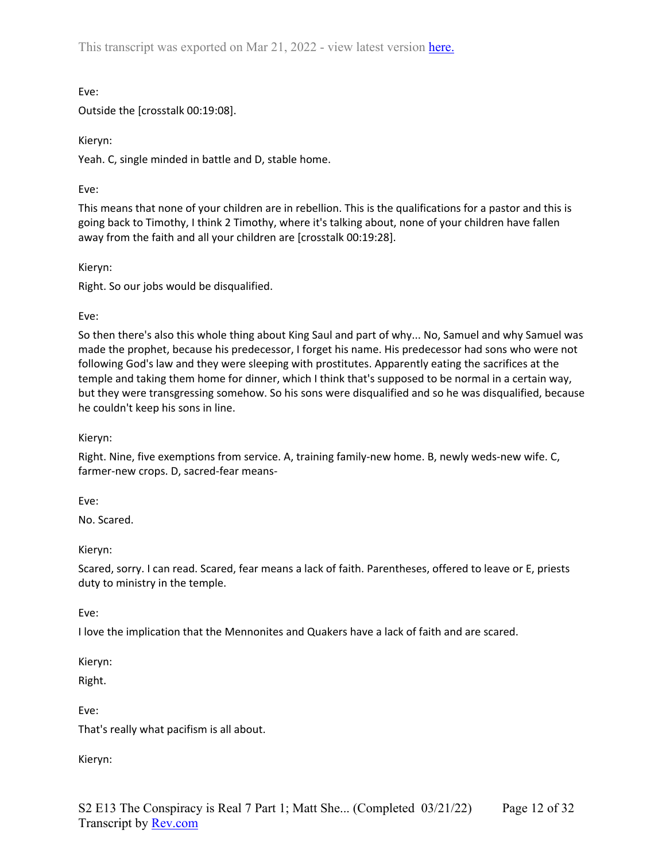Eve:

Outside the [crosstalk 00:19:08].

Kieryn:

Yeah. C, single minded in battle and D, stable home.

Eve:

This means that none of your children are in rebellion. This is the qualifications for a pastor and this is going back to Timothy, I think 2 Timothy, where it's talking about, none of your children have fallen away from the faith and all your children are [crosstalk 00:19:28].

Kieryn:

Right. So our jobs would be disqualified.

Eve:

So then there's also this whole thing about King Saul and part of why... No, Samuel and why Samuel was made the prophet, because his predecessor, I forget his name. His predecessor had sons who were not following God's law and they were sleeping with prostitutes. Apparently eating the sacrifices at the temple and taking them home for dinner, which I think that's supposed to be normal in a certain way, but they were transgressing somehow. So his sons were disqualified and so he was disqualified, because he couldn't keep his sons in line.

Kieryn:

Right. Nine, five exemptions from service. A, training family-new home. B, newly weds-new wife. C, farmer-new crops. D, sacred-fear means-

Eve:

No. Scared.

Kieryn:

Scared, sorry. I can read. Scared, fear means a lack of faith. Parentheses, offered to leave or E, priests duty to ministry in the temple.

Eve:

I love the implication that the Mennonites and Quakers have a lack of faith and are scared.

Kieryn:

Right.

Eve:

That's really what pacifism is all about.

Kieryn: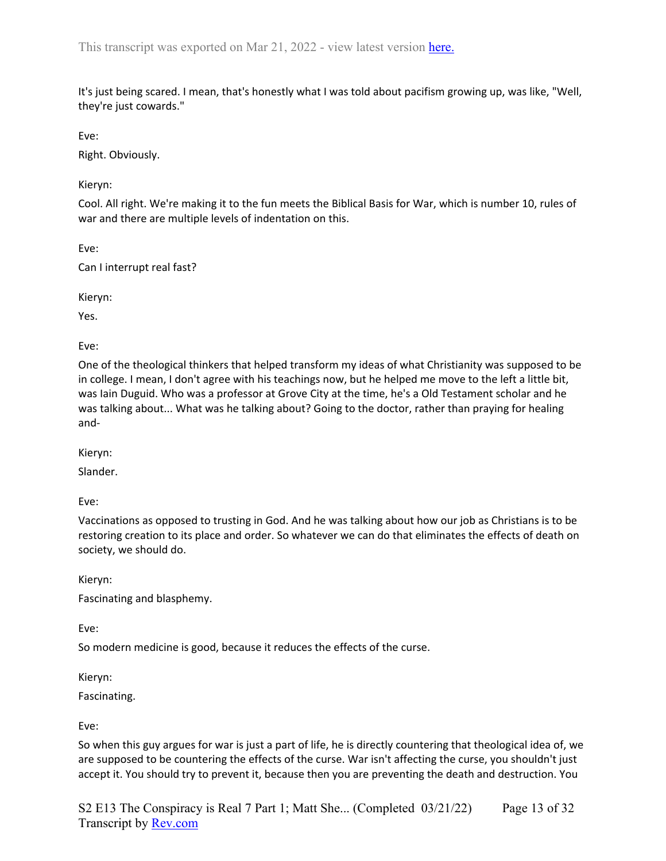It's just being scared. I mean, that's honestly what I was told about pacifism growing up, was like, "Well, they're just cowards."

Eve:

Right. Obviously.

Kieryn:

Cool. All right. We're making it to the fun meets the Biblical Basis for War, which is number 10, rules of war and there are multiple levels of indentation on this.

Eve:

Can I interrupt real fast?

Kieryn:

Yes.

Eve:

One of the theological thinkers that helped transform my ideas of what Christianity was supposed to be in college. I mean, I don't agree with his teachings now, but he helped me move to the left a little bit, was Iain Duguid. Who was a professor at Grove City at the time, he's a Old Testament scholar and he was talking about... What was he talking about? Going to the doctor, rather than praying for healing and-

Kieryn:

Slander.

Eve:

Vaccinations as opposed to trusting in God. And he was talking about how our job as Christians is to be restoring creation to its place and order. So whatever we can do that eliminates the effects of death on society, we should do.

Kieryn: Fascinating and blasphemy.

Eve:

So modern medicine is good, because it reduces the effects of the curse.

Kieryn:

Fascinating.

Eve:

So when this guy argues for war is just a part of life, he is directly countering that theological idea of, we are supposed to be countering the effects of the curse. War isn't affecting the curse, you shouldn't just accept it. You should try to prevent it, because then you are preventing the death and destruction. You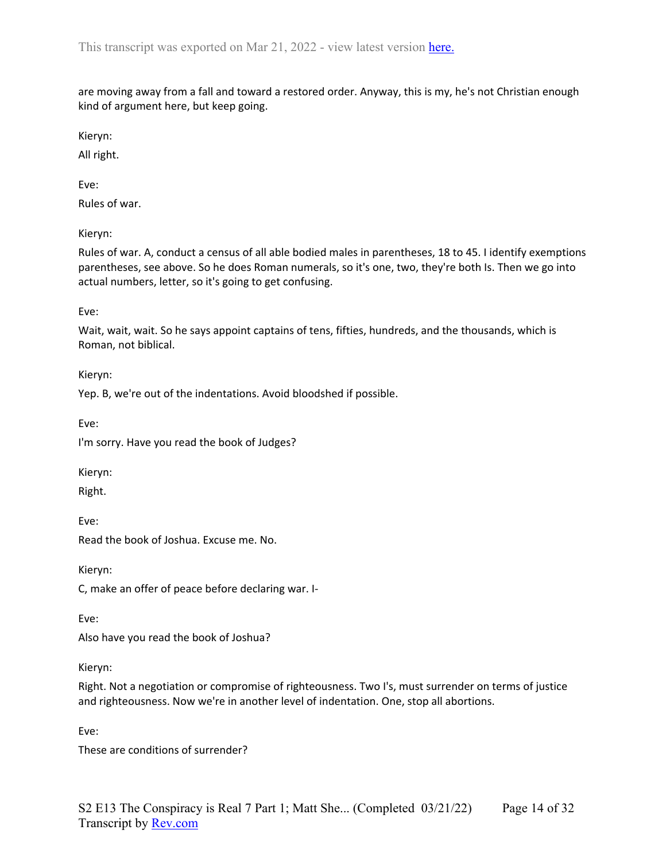are moving away from a fall and toward a restored order. Anyway, this is my, he's not Christian enough kind of argument here, but keep going.

Kieryn:

All right.

Eve:

Rules of war.

Kieryn:

Rules of war. A, conduct a census of all able bodied males in parentheses, 18 to 45. I identify exemptions parentheses, see above. So he does Roman numerals, so it's one, two, they're both Is. Then we go into actual numbers, letter, so it's going to get confusing.

Eve:

Wait, wait, wait. So he says appoint captains of tens, fifties, hundreds, and the thousands, which is Roman, not biblical.

Kieryn:

Yep. B, we're out of the indentations. Avoid bloodshed if possible.

Eve:

I'm sorry. Have you read the book of Judges?

Kieryn:

Right.

Eve:

Read the book of Joshua. Excuse me. No.

Kieryn:

C, make an offer of peace before declaring war. I-

Eve:

Also have you read the book of Joshua?

Kieryn:

Right. Not a negotiation or compromise of righteousness. Two I's, must surrender on terms of justice and righteousness. Now we're in another level of indentation. One, stop all abortions.

Eve:

These are conditions of surrender?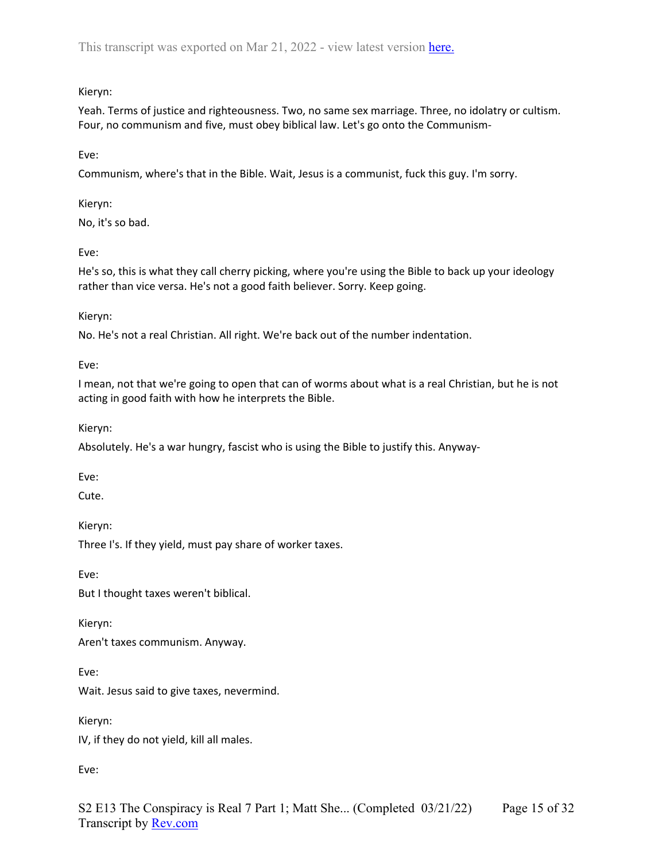# Kieryn:

Yeah. Terms of justice and righteousness. Two, no same sex marriage. Three, no idolatry or cultism. Four, no communism and five, must obey biblical law. Let's go onto the Communism-

Eve:

Communism, where's that in the Bible. Wait, Jesus is a communist, fuck this guy. I'm sorry.

Kieryn:

No, it's so bad.

Eve:

He's so, this is what they call cherry picking, where you're using the Bible to back up your ideology rather than vice versa. He's not a good faith believer. Sorry. Keep going.

# Kieryn:

No. He's not a real Christian. All right. We're back out of the number indentation.

Eve:

I mean, not that we're going to open that can of worms about what is a real Christian, but he is not acting in good faith with how he interprets the Bible.

Kieryn:

Absolutely. He's a war hungry, fascist who is using the Bible to justify this. Anyway-

Eve:

Cute.

Kieryn:

Three I's. If they yield, must pay share of worker taxes.

Eve:

But I thought taxes weren't biblical.

Kieryn:

Aren't taxes communism. Anyway.

Eve:

Wait. Jesus said to give taxes, nevermind.

Kieryn:

IV, if they do not yield, kill all males.

Eve: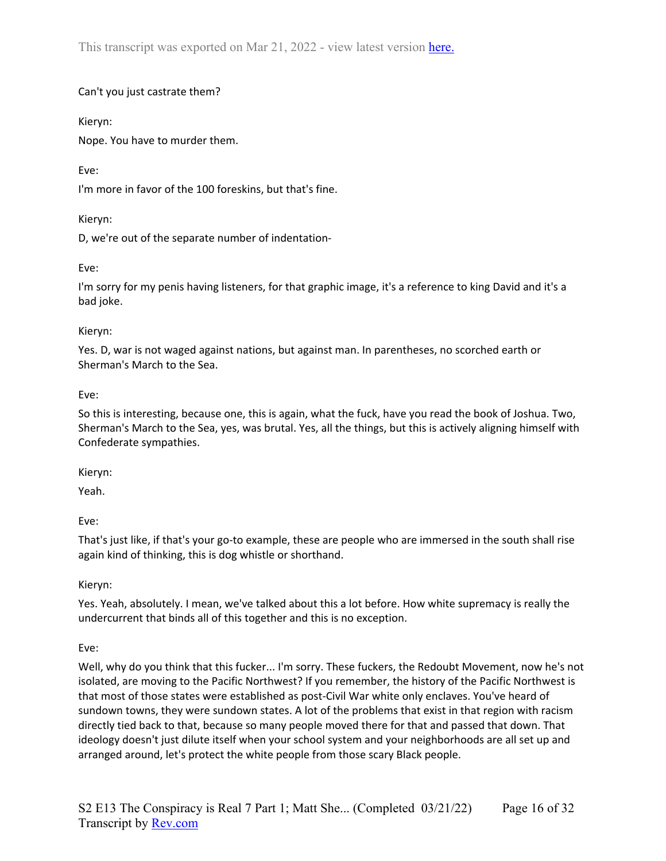# Can't you just castrate them?

Kieryn:

Nope. You have to murder them.

# Eve:

I'm more in favor of the 100 foreskins, but that's fine.

# Kieryn:

D, we're out of the separate number of indentation-

# Eve:

I'm sorry for my penis having listeners, for that graphic image, it's a reference to king David and it's a bad joke.

# Kieryn:

Yes. D, war is not waged against nations, but against man. In parentheses, no scorched earth or Sherman's March to the Sea.

# Eve:

So this is interesting, because one, this is again, what the fuck, have you read the book of Joshua. Two, Sherman's March to the Sea, yes, was brutal. Yes, all the things, but this is actively aligning himself with Confederate sympathies.

Kieryn:

Yeah.

Eve:

That's just like, if that's your go-to example, these are people who are immersed in the south shall rise again kind of thinking, this is dog whistle or shorthand.

Kieryn:

Yes. Yeah, absolutely. I mean, we've talked about this a lot before. How white supremacy is really the undercurrent that binds all of this together and this is no exception.

# Eve:

Well, why do you think that this fucker... I'm sorry. These fuckers, the Redoubt Movement, now he's not isolated, are moving to the Pacific Northwest? If you remember, the history of the Pacific Northwest is that most of those states were established as post-Civil War white only enclaves. You've heard of sundown towns, they were sundown states. A lot of the problems that exist in that region with racism directly tied back to that, because so many people moved there for that and passed that down. That ideology doesn't just dilute itself when your school system and your neighborhoods are all set up and arranged around, let's protect the white people from those scary Black people.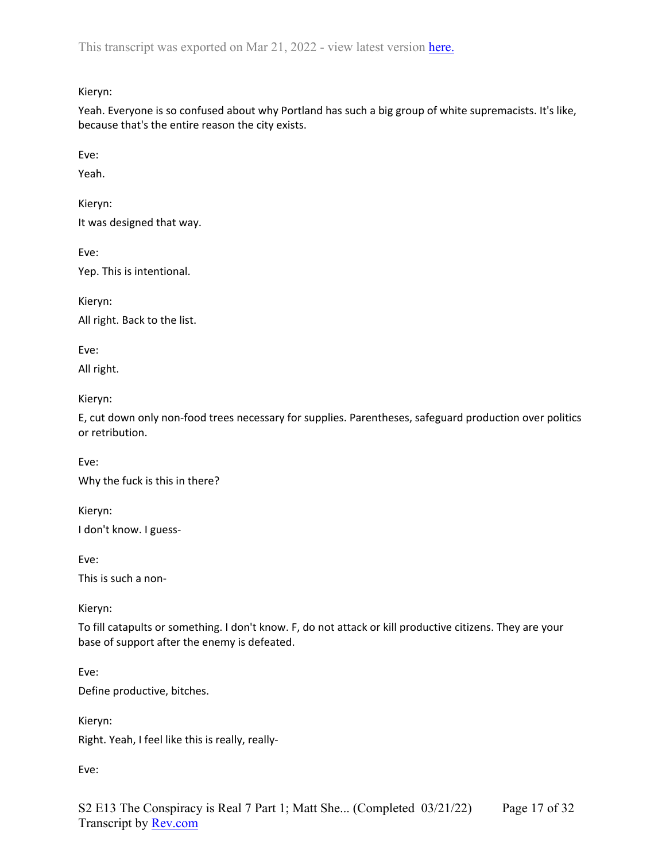Kieryn:

Yeah. Everyone is so confused about why Portland has such a big group of white supremacists. It's like, because that's the entire reason the city exists.

Eve:

Yeah.

Kieryn:

It was designed that way.

Eve:

Yep. This is intentional.

Kieryn:

All right. Back to the list.

Eve:

All right.

Kieryn:

E, cut down only non-food trees necessary for supplies. Parentheses, safeguard production over politics or retribution.

Eve: Why the fuck is this in there?

Kieryn: I don't know. I guess-

Eve:

This is such a non-

Kieryn:

To fill catapults or something. I don't know. F, do not attack or kill productive citizens. They are your base of support after the enemy is defeated.

Eve:

Define productive, bitches.

Kieryn: Right. Yeah, I feel like this is really, really-

Eve: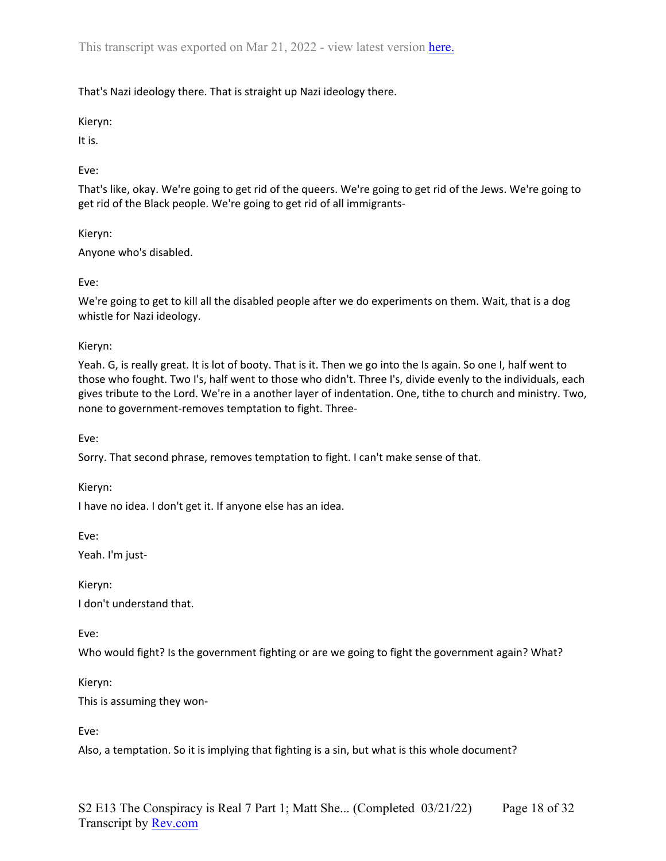That's Nazi ideology there. That is straight up Nazi ideology there.

Kieryn:

It is.

Eve:

That's like, okay. We're going to get rid of the queers. We're going to get rid of the Jews. We're going to get rid of the Black people. We're going to get rid of all immigrants-

Kieryn: Anyone who's disabled.

Eve:

We're going to get to kill all the disabled people after we do experiments on them. Wait, that is a dog whistle for Nazi ideology.

Kieryn:

Yeah. G, is really great. It is lot of booty. That is it. Then we go into the Is again. So one I, half went to those who fought. Two I's, half went to those who didn't. Three I's, divide evenly to the individuals, each gives tribute to the Lord. We're in a another layer of indentation. One, tithe to church and ministry. Two, none to government-removes temptation to fight. Three-

Eve:

Sorry. That second phrase, removes temptation to fight. I can't make sense of that.

Kieryn:

I have no idea. I don't get it. If anyone else has an idea.

Eve:

Yeah. I'm just-

Kieryn: I don't understand that.

Eve:

Who would fight? Is the government fighting or are we going to fight the government again? What?

Kieryn:

This is assuming they won-

Eve:

Also, a temptation. So it is implying that fighting is a sin, but what is this whole document?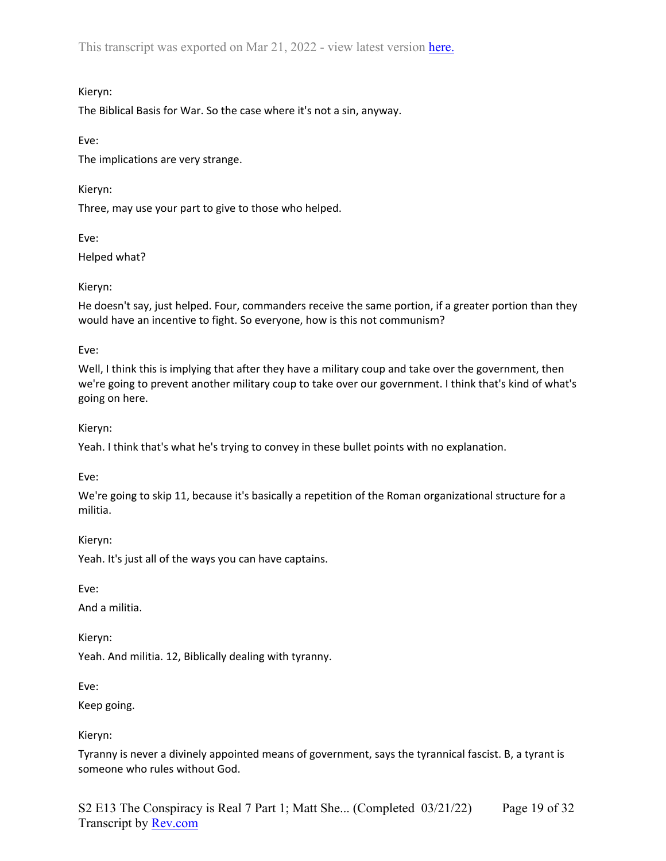## Kieryn:

The Biblical Basis for War. So the case where it's not a sin, anyway.

Eve:

The implications are very strange.

Kieryn:

Three, may use your part to give to those who helped.

Eve:

Helped what?

# Kieryn:

He doesn't say, just helped. Four, commanders receive the same portion, if a greater portion than they would have an incentive to fight. So everyone, how is this not communism?

Eve:

Well, I think this is implying that after they have a military coup and take over the government, then we're going to prevent another military coup to take over our government. I think that's kind of what's going on here.

Kieryn:

Yeah. I think that's what he's trying to convey in these bullet points with no explanation.

Eve:

We're going to skip 11, because it's basically a repetition of the Roman organizational structure for a militia.

Kieryn:

Yeah. It's just all of the ways you can have captains.

Eve:

And a militia.

Kieryn:

Yeah. And militia. 12, Biblically dealing with tyranny.

Eve:

Keep going.

Kieryn:

Tyranny is never a divinely appointed means of government, says the tyrannical fascist. B, a tyrant is someone who rules without God.

S2 E13 The Conspiracy is Real 7 Part 1; Matt She... (Completed 03/21/22) Transcript by [Rev.com](https://www.rev.com/) Page 19 of 32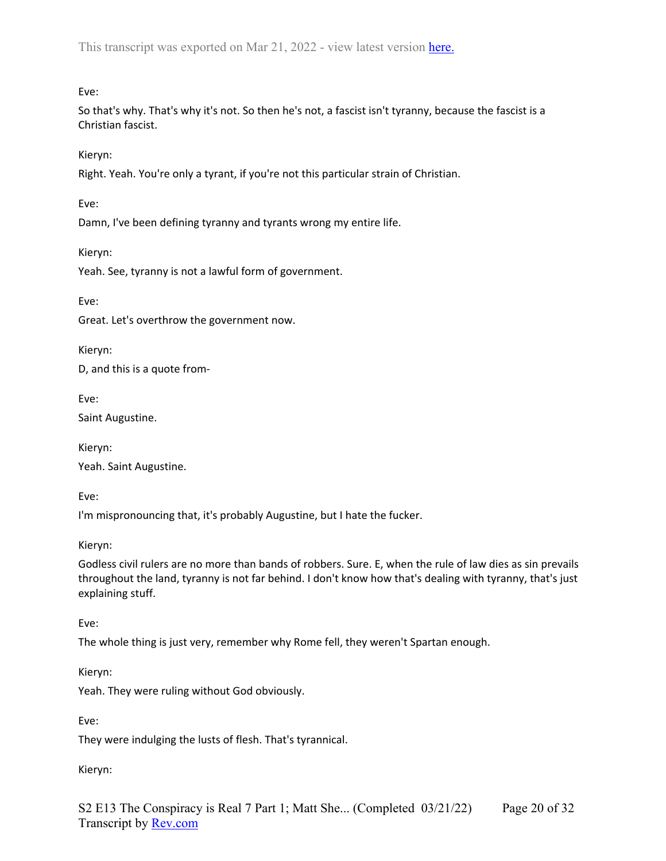Eve:

So that's why. That's why it's not. So then he's not, a fascist isn't tyranny, because the fascist is a Christian fascist.

Kieryn:

Right. Yeah. You're only a tyrant, if you're not this particular strain of Christian.

Eve:

Damn, I've been defining tyranny and tyrants wrong my entire life.

Kieryn:

Yeah. See, tyranny is not a lawful form of government.

Eve:

Great. Let's overthrow the government now.

Kieryn:

D, and this is a quote from-

Eve:

Saint Augustine.

Kieryn: Yeah. Saint Augustine.

Eve:

I'm mispronouncing that, it's probably Augustine, but I hate the fucker.

Kieryn:

Godless civil rulers are no more than bands of robbers. Sure. E, when the rule of law dies as sin prevails throughout the land, tyranny is not far behind. I don't know how that's dealing with tyranny, that's just explaining stuff.

Eve:

The whole thing is just very, remember why Rome fell, they weren't Spartan enough.

Kieryn:

Yeah. They were ruling without God obviously.

Eve:

They were indulging the lusts of flesh. That's tyrannical.

Kieryn: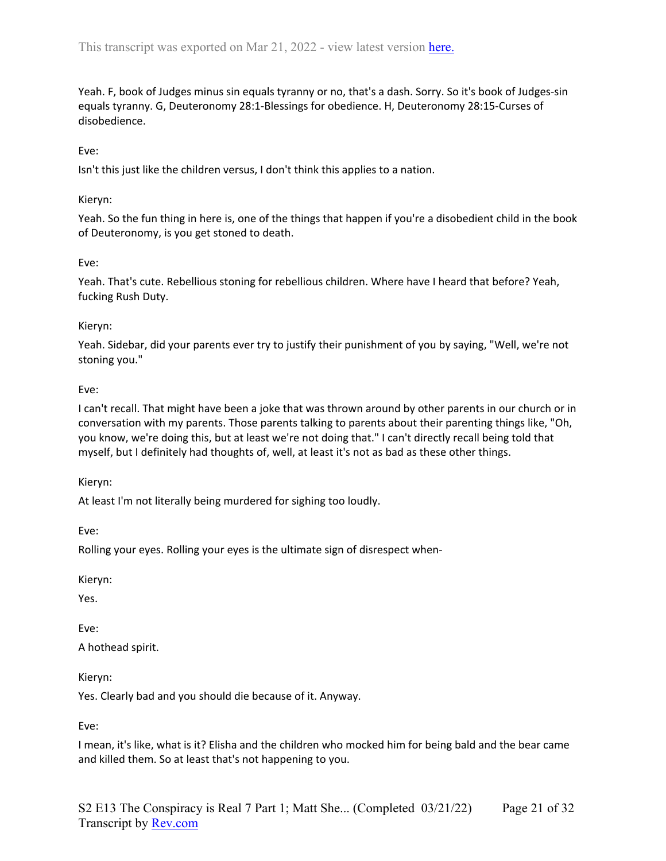Yeah. F, book of Judges minus sin equals tyranny or no, that's a dash. Sorry. So it's book of Judges-sin equals tyranny. G, Deuteronomy 28:1-Blessings for obedience. H, Deuteronomy 28:15-Curses of disobedience.

#### Eve:

Isn't this just like the children versus, I don't think this applies to a nation.

#### Kieryn:

Yeah. So the fun thing in here is, one of the things that happen if you're a disobedient child in the book of Deuteronomy, is you get stoned to death.

### Eve:

Yeah. That's cute. Rebellious stoning for rebellious children. Where have I heard that before? Yeah, fucking Rush Duty.

#### Kieryn:

Yeah. Sidebar, did your parents ever try to justify their punishment of you by saying, "Well, we're not stoning you."

#### Eve:

I can't recall. That might have been a joke that was thrown around by other parents in our church or in conversation with my parents. Those parents talking to parents about their parenting things like, "Oh, you know, we're doing this, but at least we're not doing that." I can't directly recall being told that myself, but I definitely had thoughts of, well, at least it's not as bad as these other things.

#### Kieryn:

At least I'm not literally being murdered for sighing too loudly.

Eve:

Rolling your eyes. Rolling your eyes is the ultimate sign of disrespect when-

Kieryn:

Yes.

Eve:

A hothead spirit.

Kieryn:

Yes. Clearly bad and you should die because of it. Anyway.

Eve:

I mean, it's like, what is it? Elisha and the children who mocked him for being bald and the bear came and killed them. So at least that's not happening to you.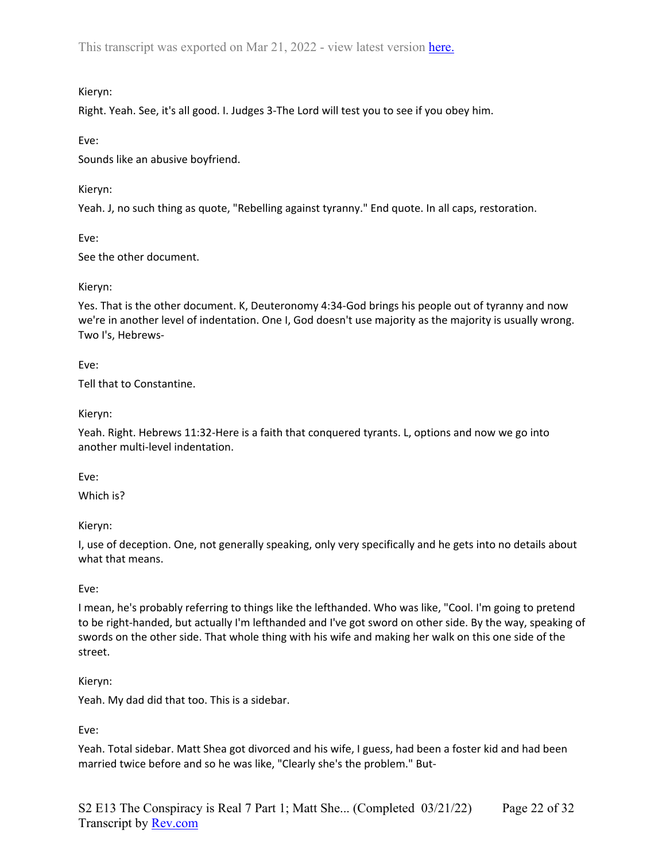## Kieryn:

Right. Yeah. See, it's all good. I. Judges 3-The Lord will test you to see if you obey him.

Eve:

Sounds like an abusive boyfriend.

Kieryn:

Yeah. J, no such thing as quote, "Rebelling against tyranny." End quote. In all caps, restoration.

Eve:

See the other document.

# Kieryn:

Yes. That is the other document. K, Deuteronomy 4:34-God brings his people out of tyranny and now we're in another level of indentation. One I, God doesn't use majority as the majority is usually wrong. Two I's, Hebrews-

Eve:

Tell that to Constantine.

# Kieryn:

Yeah. Right. Hebrews 11:32-Here is a faith that conquered tyrants. L, options and now we go into another multi-level indentation.

Eve:

Which is?

Kieryn:

I, use of deception. One, not generally speaking, only very specifically and he gets into no details about what that means.

# Eve:

I mean, he's probably referring to things like the lefthanded. Who was like, "Cool. I'm going to pretend to be right-handed, but actually I'm lefthanded and I've got sword on other side. By the way, speaking of swords on the other side. That whole thing with his wife and making her walk on this one side of the street.

### Kieryn:

Yeah. My dad did that too. This is a sidebar.

Eve:

Yeah. Total sidebar. Matt Shea got divorced and his wife, I guess, had been a foster kid and had been married twice before and so he was like, "Clearly she's the problem." But-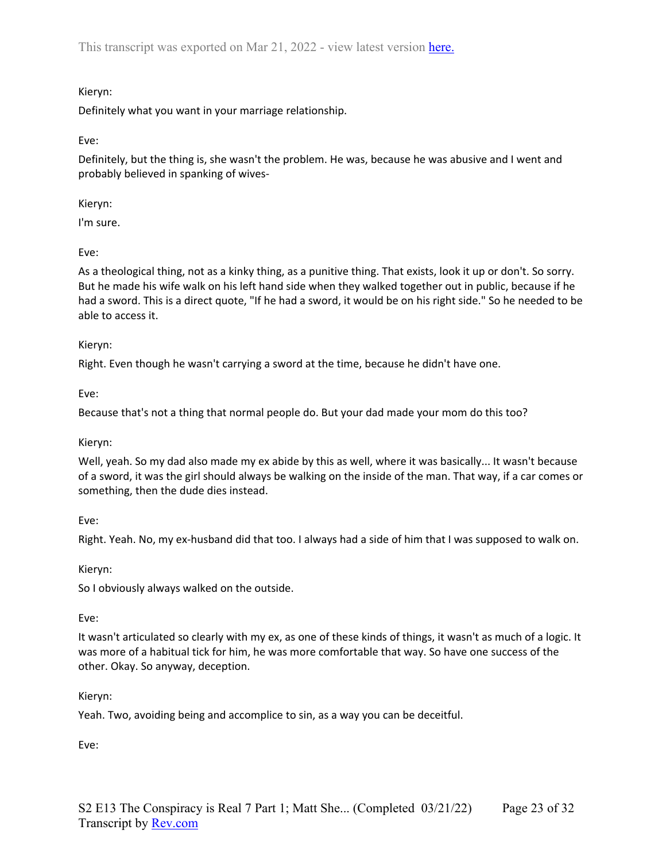# Kieryn:

Definitely what you want in your marriage relationship.

Eve:

Definitely, but the thing is, she wasn't the problem. He was, because he was abusive and I went and probably believed in spanking of wives-

Kieryn:

I'm sure.

Eve:

As a theological thing, not as a kinky thing, as a punitive thing. That exists, look it up or don't. So sorry. But he made his wife walk on his left hand side when they walked together out in public, because if he had a sword. This is a direct quote, "If he had a sword, it would be on his right side." So he needed to be able to access it.

#### Kieryn:

Right. Even though he wasn't carrying a sword at the time, because he didn't have one.

Eve:

Because that's not a thing that normal people do. But your dad made your mom do this too?

#### Kieryn:

Well, yeah. So my dad also made my ex abide by this as well, where it was basically... It wasn't because of a sword, it was the girl should always be walking on the inside of the man. That way, if a car comes or something, then the dude dies instead.

Eve:

Right. Yeah. No, my ex-husband did that too. I always had a side of him that I was supposed to walk on.

### Kieryn:

So I obviously always walked on the outside.

#### Eve:

It wasn't articulated so clearly with my ex, as one of these kinds of things, it wasn't as much of a logic. It was more of a habitual tick for him, he was more comfortable that way. So have one success of the other. Okay. So anyway, deception.

### Kieryn:

Yeah. Two, avoiding being and accomplice to sin, as a way you can be deceitful.

Eve: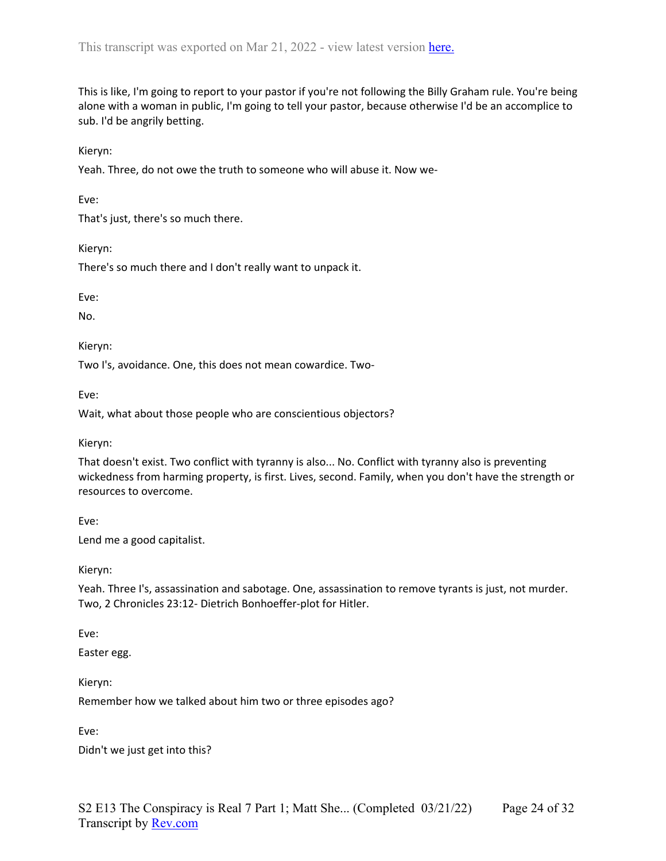This is like, I'm going to report to your pastor if you're not following the Billy Graham rule. You're being alone with a woman in public, I'm going to tell your pastor, because otherwise I'd be an accomplice to sub. I'd be angrily betting.

Kieryn:

Yeah. Three, do not owe the truth to someone who will abuse it. Now we-

Eve:

That's just, there's so much there.

Kieryn:

There's so much there and I don't really want to unpack it.

Eve:

No.

Kieryn:

Two I's, avoidance. One, this does not mean cowardice. Two-

Eve:

Wait, what about those people who are conscientious objectors?

Kieryn:

That doesn't exist. Two conflict with tyranny is also... No. Conflict with tyranny also is preventing wickedness from harming property, is first. Lives, second. Family, when you don't have the strength or resources to overcome.

Eve:

Lend me a good capitalist.

Kieryn:

Yeah. Three I's, assassination and sabotage. One, assassination to remove tyrants is just, not murder. Two, 2 Chronicles 23:12- Dietrich Bonhoeffer-plot for Hitler.

Eve:

Easter egg.

Kieryn:

Remember how we talked about him two or three episodes ago?

Eve:

Didn't we just get into this?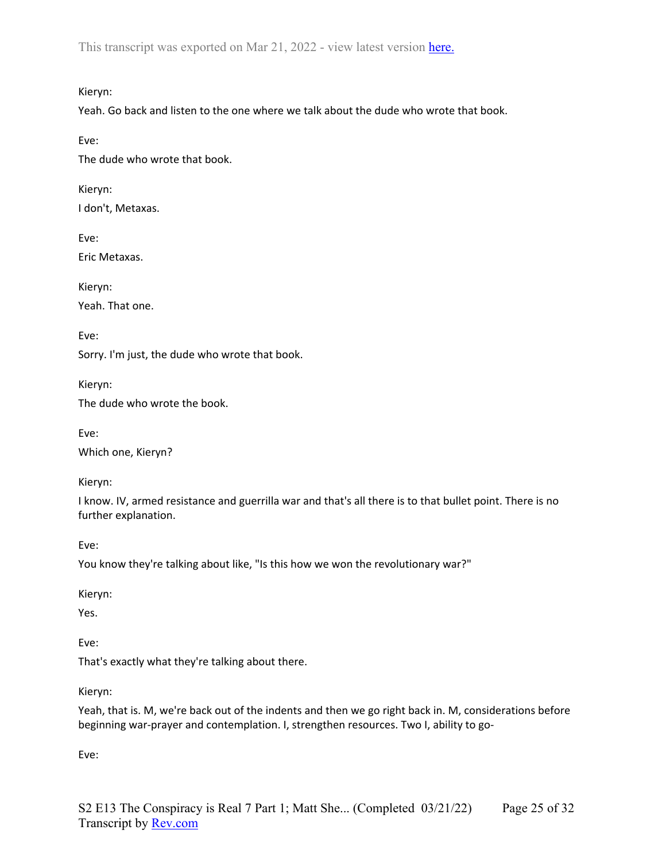Kieryn:

Yeah. Go back and listen to the one where we talk about the dude who wrote that book.

Eve:

The dude who wrote that book.

Kieryn: I don't, Metaxas.

Eve: Eric Metaxas.

Kieryn: Yeah. That one.

Eve:

Sorry. I'm just, the dude who wrote that book.

Kieryn: The dude who wrote the book.

Eve: Which one, Kieryn?

Kieryn:

I know. IV, armed resistance and guerrilla war and that's all there is to that bullet point. There is no further explanation.

Eve:

You know they're talking about like, "Is this how we won the revolutionary war?"

Kieryn:

Yes.

Eve:

That's exactly what they're talking about there.

Kieryn:

Yeah, that is. M, we're back out of the indents and then we go right back in. M, considerations before beginning war-prayer and contemplation. I, strengthen resources. Two I, ability to go-

Eve: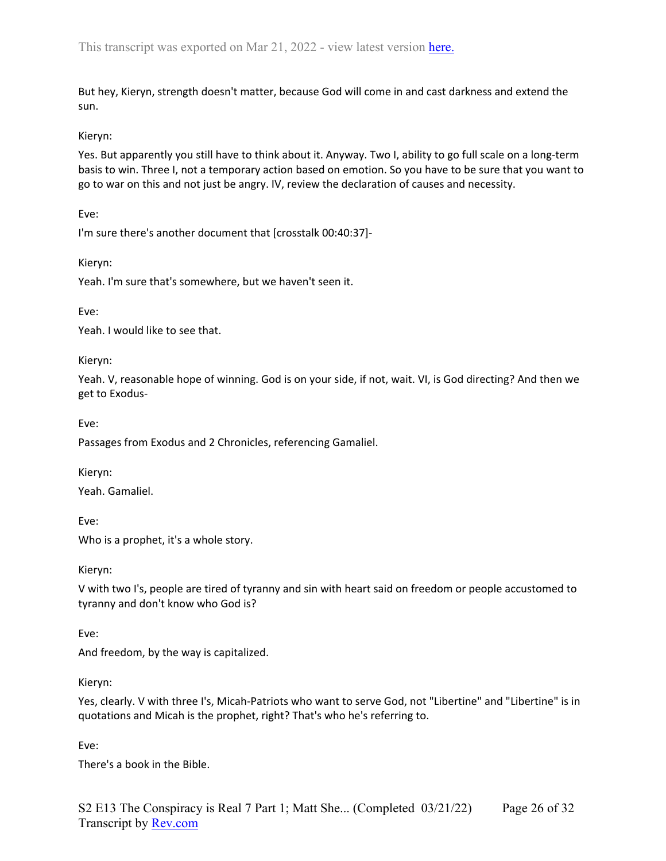But hey, Kieryn, strength doesn't matter, because God will come in and cast darkness and extend the sun.

### Kieryn:

Yes. But apparently you still have to think about it. Anyway. Two I, ability to go full scale on a long-term basis to win. Three I, not a temporary action based on emotion. So you have to be sure that you want to go to war on this and not just be angry. IV, review the declaration of causes and necessity.

Eve:

I'm sure there's another document that [crosstalk 00:40:37]-

Kieryn:

Yeah. I'm sure that's somewhere, but we haven't seen it.

Eve:

Yeah. I would like to see that.

Kieryn:

Yeah. V, reasonable hope of winning. God is on your side, if not, wait. VI, is God directing? And then we get to Exodus-

Eve:

Passages from Exodus and 2 Chronicles, referencing Gamaliel.

Kieryn: Yeah. Gamaliel.

Eve:

Who is a prophet, it's a whole story.

Kieryn:

V with two I's, people are tired of tyranny and sin with heart said on freedom or people accustomed to tyranny and don't know who God is?

Eve:

And freedom, by the way is capitalized.

Kieryn:

Yes, clearly. V with three I's, Micah-Patriots who want to serve God, not "Libertine" and "Libertine" is in quotations and Micah is the prophet, right? That's who he's referring to.

Eve:

There's a book in the Bible.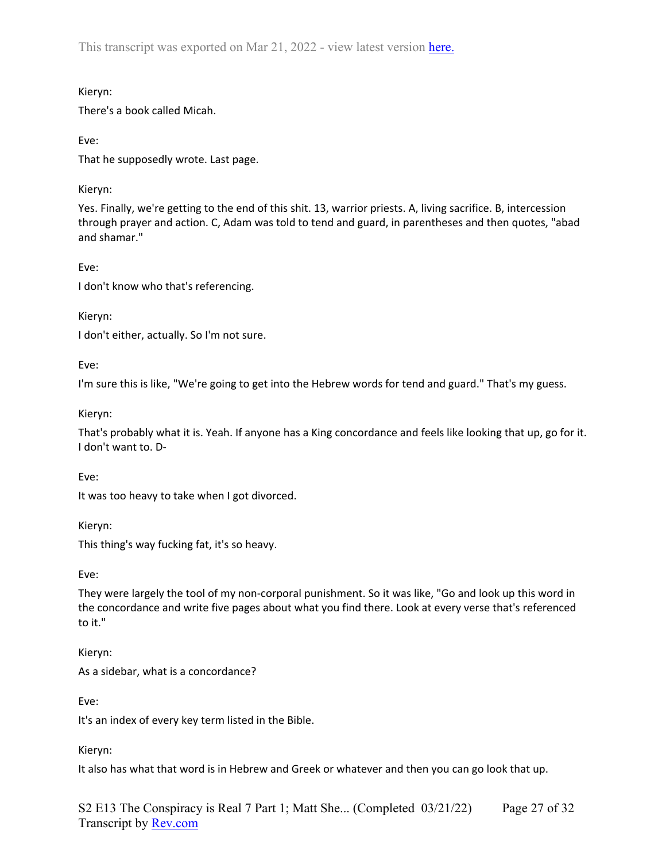Kieryn:

There's a book called Micah.

Eve:

That he supposedly wrote. Last page.

Kieryn:

Yes. Finally, we're getting to the end of this shit. 13, warrior priests. A, living sacrifice. B, intercession through prayer and action. C, Adam was told to tend and guard, in parentheses and then quotes, "abad and shamar."

Eve:

I don't know who that's referencing.

Kieryn:

I don't either, actually. So I'm not sure.

Eve:

I'm sure this is like, "We're going to get into the Hebrew words for tend and guard." That's my guess.

Kieryn:

That's probably what it is. Yeah. If anyone has a King concordance and feels like looking that up, go for it. I don't want to. D-

Eve:

It was too heavy to take when I got divorced.

Kieryn:

This thing's way fucking fat, it's so heavy.

Eve:

They were largely the tool of my non-corporal punishment. So it was like, "Go and look up this word in the concordance and write five pages about what you find there. Look at every verse that's referenced to it."

Kieryn:

As a sidebar, what is a concordance?

Eve:

It's an index of every key term listed in the Bible.

Kieryn:

It also has what that word is in Hebrew and Greek or whatever and then you can go look that up.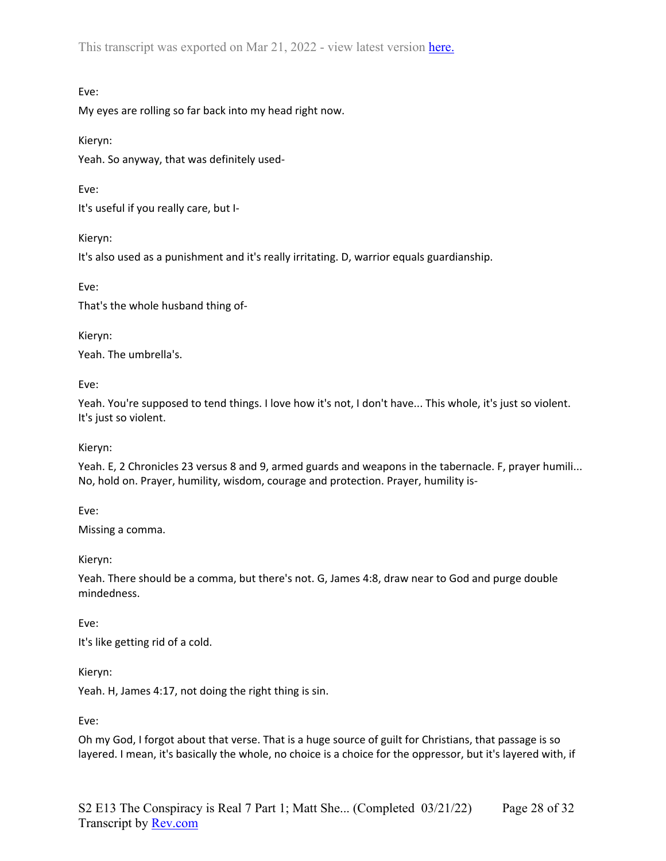## Eve:

My eyes are rolling so far back into my head right now.

Kieryn:

Yeah. So anyway, that was definitely used-

Eve:

It's useful if you really care, but I-

Kieryn:

It's also used as a punishment and it's really irritating. D, warrior equals guardianship.

Eve:

That's the whole husband thing of-

Kieryn: Yeah. The umbrella's.

Eve:

Yeah. You're supposed to tend things. I love how it's not, I don't have... This whole, it's just so violent. It's just so violent.

Kieryn:

Yeah. E, 2 Chronicles 23 versus 8 and 9, armed guards and weapons in the tabernacle. F, prayer humili... No, hold on. Prayer, humility, wisdom, courage and protection. Prayer, humility is-

Eve:

Missing a comma.

Kieryn:

Yeah. There should be a comma, but there's not. G, James 4:8, draw near to God and purge double mindedness.

Eve:

It's like getting rid of a cold.

Kieryn:

Yeah. H, James 4:17, not doing the right thing is sin.

Eve:

Oh my God, I forgot about that verse. That is a huge source of guilt for Christians, that passage is so layered. I mean, it's basically the whole, no choice is a choice for the oppressor, but it's layered with, if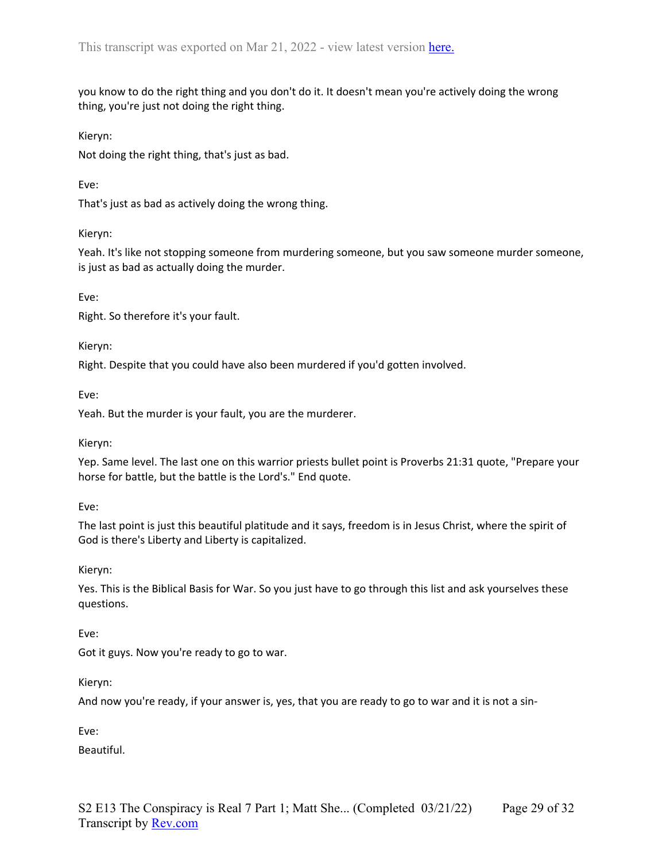you know to do the right thing and you don't do it. It doesn't mean you're actively doing the wrong thing, you're just not doing the right thing.

Kieryn:

Not doing the right thing, that's just as bad.

Eve:

That's just as bad as actively doing the wrong thing.

#### Kieryn:

Yeah. It's like not stopping someone from murdering someone, but you saw someone murder someone, is just as bad as actually doing the murder.

Eve:

Right. So therefore it's your fault.

Kieryn:

Right. Despite that you could have also been murdered if you'd gotten involved.

Eve:

Yeah. But the murder is your fault, you are the murderer.

Kieryn:

Yep. Same level. The last one on this warrior priests bullet point is Proverbs 21:31 quote, "Prepare your horse for battle, but the battle is the Lord's." End quote.

Eve:

The last point is just this beautiful platitude and it says, freedom is in Jesus Christ, where the spirit of God is there's Liberty and Liberty is capitalized.

Kieryn:

Yes. This is the Biblical Basis for War. So you just have to go through this list and ask yourselves these questions.

Eve:

Got it guys. Now you're ready to go to war.

Kieryn:

And now you're ready, if your answer is, yes, that you are ready to go to war and it is not a sin-

Eve:

Beautiful.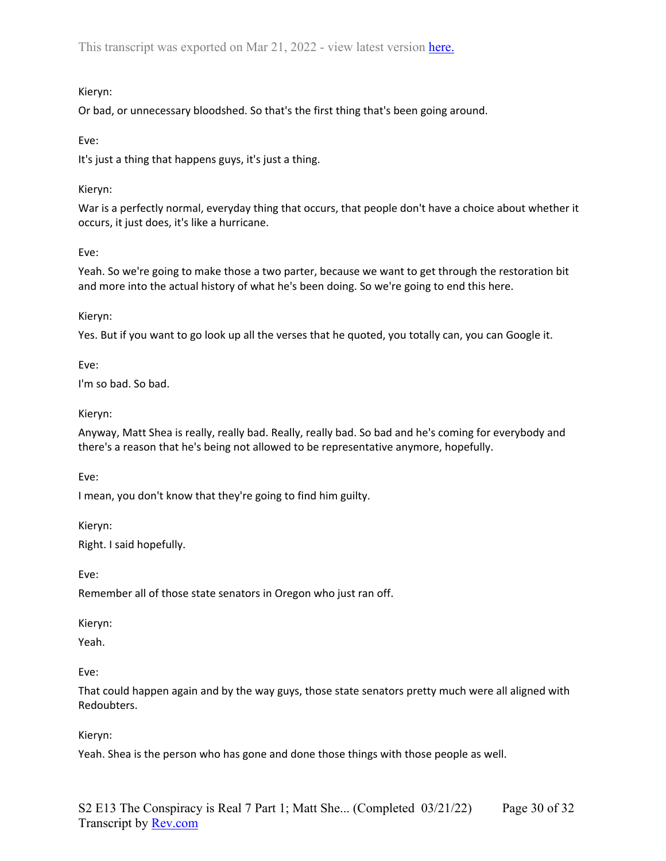## Kieryn:

Or bad, or unnecessary bloodshed. So that's the first thing that's been going around.

Eve:

It's just a thing that happens guys, it's just a thing.

## Kieryn:

War is a perfectly normal, everyday thing that occurs, that people don't have a choice about whether it occurs, it just does, it's like a hurricane.

# Eve:

Yeah. So we're going to make those a two parter, because we want to get through the restoration bit and more into the actual history of what he's been doing. So we're going to end this here.

Kieryn:

Yes. But if you want to go look up all the verses that he quoted, you totally can, you can Google it.

Eve:

I'm so bad. So bad.

# Kieryn:

Anyway, Matt Shea is really, really bad. Really, really bad. So bad and he's coming for everybody and there's a reason that he's being not allowed to be representative anymore, hopefully.

Eve:

I mean, you don't know that they're going to find him guilty.

Kieryn:

Right. I said hopefully.

Eve:

Remember all of those state senators in Oregon who just ran off.

Kieryn:

Yeah.

Eve:

That could happen again and by the way guys, those state senators pretty much were all aligned with Redoubters.

Kieryn:

Yeah. Shea is the person who has gone and done those things with those people as well.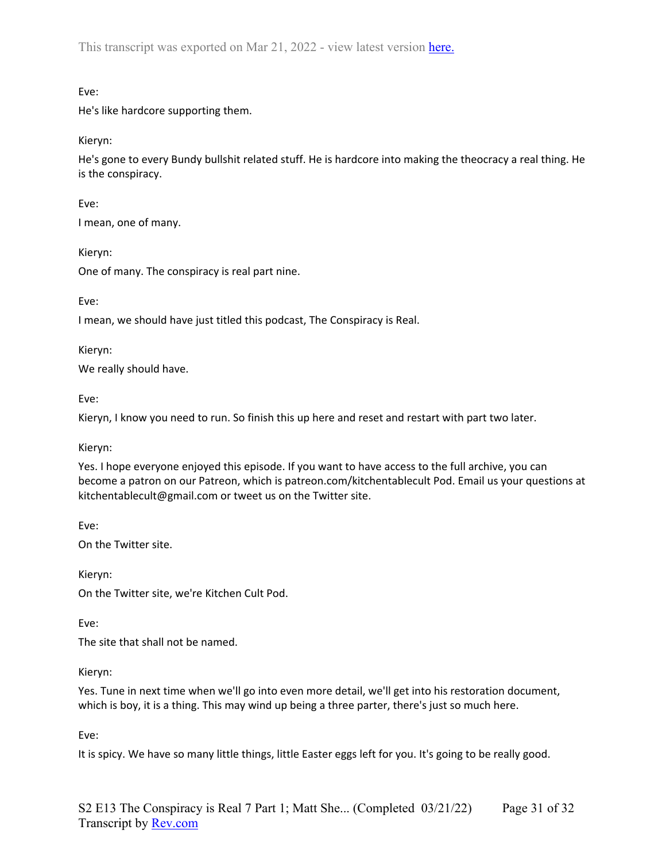Eve:

He's like hardcore supporting them.

Kieryn:

He's gone to every Bundy bullshit related stuff. He is hardcore into making the theocracy a real thing. He is the conspiracy.

Eve:

I mean, one of many.

Kieryn:

One of many. The conspiracy is real part nine.

Eve:

I mean, we should have just titled this podcast, The Conspiracy is Real.

Kieryn:

We really should have.

Eve:

Kieryn, I know you need to run. So finish this up here and reset and restart with part two later.

Kieryn:

Yes. I hope everyone enjoyed this episode. If you want to have access to the full archive, you can become a patron on our Patreon, which is patreon.com/kitchentablecult Pod. Email us your questions at kitchentablecult@gmail.com or tweet us on the Twitter site.

Eve:

On the Twitter site.

Kieryn:

On the Twitter site, we're Kitchen Cult Pod.

Eve:

The site that shall not be named.

Kieryn:

Yes. Tune in next time when we'll go into even more detail, we'll get into his restoration document, which is boy, it is a thing. This may wind up being a three parter, there's just so much here.

Eve:

It is spicy. We have so many little things, little Easter eggs left for you. It's going to be really good.